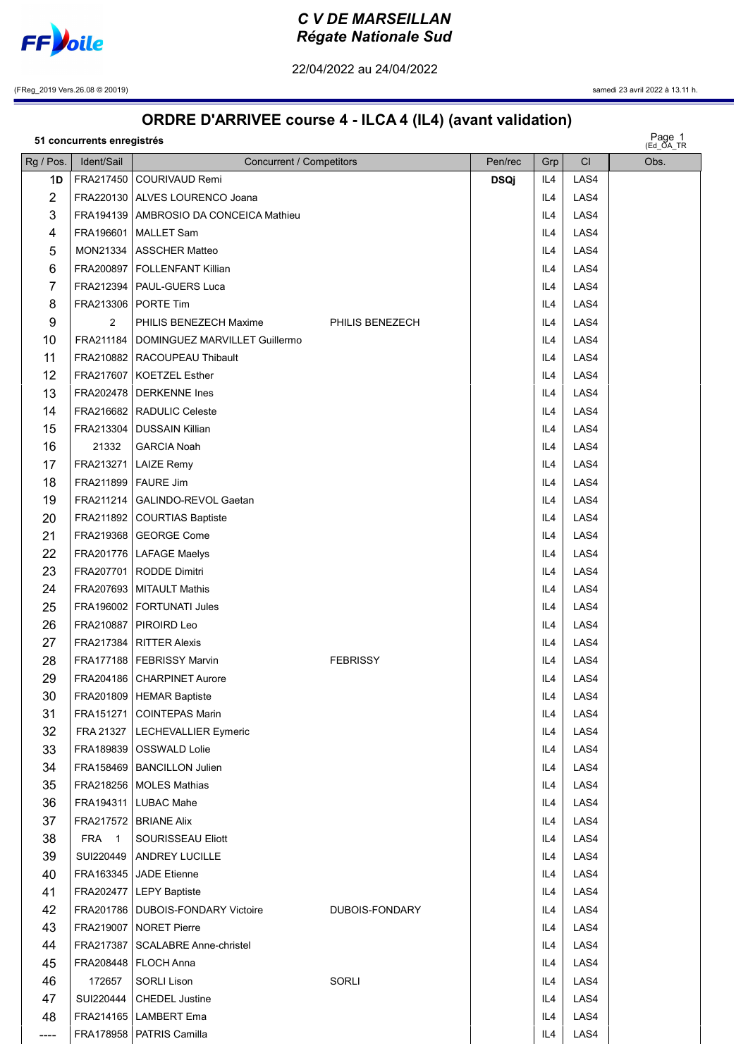

22/04/2022 au 24/04/2022

(FReg\_2019 Vers.26.08 © 20019) samedi 23 avril 2022 à 13.11 h.

## ORDRE D'ARRIVEE course 4 - ILCA 4 (IL4) (avant validation)

|  | 51 concurrents enregistrés |  |
|--|----------------------------|--|
|--|----------------------------|--|

| Page 1<br>Ed_OA_TR<br>51 concurrents enregistrés |                       |                                           |                 |             |     |      |      |  |
|--------------------------------------------------|-----------------------|-------------------------------------------|-----------------|-------------|-----|------|------|--|
| Rg / Pos.                                        | Ident/Sail            | Concurrent / Competitors                  |                 | Pen/rec     | Grp | CI   | Obs. |  |
| 1D                                               |                       | FRA217450 COURIVAUD Remi                  |                 | <b>DSQj</b> | IL4 | LAS4 |      |  |
| $\overline{c}$                                   |                       | FRA220130   ALVES LOURENCO Joana          |                 |             | IL4 | LAS4 |      |  |
| 3                                                |                       | FRA194139   AMBROSIO DA CONCEICA Mathieu  |                 |             | IL4 | LAS4 |      |  |
| 4                                                |                       | FRA196601   MALLET Sam                    |                 |             | IL4 | LAS4 |      |  |
| 5                                                |                       | MON21334   ASSCHER Matteo                 |                 |             | IL4 | LAS4 |      |  |
| 6                                                |                       | FRA200897   FOLLENFANT Killian            |                 |             | IL4 | LAS4 |      |  |
| 7                                                |                       | FRA212394   PAUL-GUERS Luca               |                 |             | IL4 | LAS4 |      |  |
| 8                                                |                       | FRA213306 PORTE Tim                       |                 |             | IL4 | LAS4 |      |  |
| 9                                                | $\overline{2}$        | PHILIS BENEZECH Maxime                    | PHILIS BENEZECH |             | IL4 | LAS4 |      |  |
| 10                                               |                       | FRA211184   DOMINGUEZ MARVILLET Guillermo |                 |             | IL4 | LAS4 |      |  |
| 11                                               |                       | FRA210882   RACOUPEAU Thibault            |                 |             | IL4 | LAS4 |      |  |
| 12                                               |                       | FRA217607   KOETZEL Esther                |                 |             | IL4 | LAS4 |      |  |
| 13                                               |                       | FRA202478   DERKENNE Ines                 |                 |             | IL4 | LAS4 |      |  |
| 14                                               |                       | FRA216682   RADULIC Celeste               |                 |             | IL4 | LAS4 |      |  |
| 15                                               |                       | FRA213304   DUSSAIN Killian               |                 |             | IL4 | LAS4 |      |  |
| 16                                               | 21332                 | <b>GARCIA Noah</b>                        |                 |             | IL4 | LAS4 |      |  |
| 17                                               |                       | FRA213271   LAIZE Remy                    |                 |             | IL4 | LAS4 |      |  |
| 18                                               | FRA211899   FAURE Jim |                                           |                 |             | IL4 | LAS4 |      |  |
| 19                                               |                       | FRA211214   GALINDO-REVOL Gaetan          |                 |             | IL4 | LAS4 |      |  |
| 20                                               |                       | FRA211892   COURTIAS Baptiste             |                 |             | IL4 | LAS4 |      |  |
| 21                                               |                       | FRA219368   GEORGE Come                   |                 |             | IL4 | LAS4 |      |  |
| 22                                               |                       | FRA201776   LAFAGE Maelys                 |                 |             | IL4 | LAS4 |      |  |
| 23                                               |                       | FRA207701   RODDE Dimitri                 |                 |             | IL4 | LAS4 |      |  |
| 24                                               |                       | FRA207693   MITAULT Mathis                |                 |             | IL4 | LAS4 |      |  |
| 25                                               |                       | FRA196002   FORTUNATI Jules               |                 |             | IL4 | LAS4 |      |  |
| 26                                               |                       | FRA210887   PIROIRD Leo                   |                 |             | IL4 | LAS4 |      |  |
| 27                                               |                       | FRA217384   RITTER Alexis                 |                 |             | IL4 | LAS4 |      |  |
| 28                                               |                       | FRA177188   FEBRISSY Marvin               | <b>FEBRISSY</b> |             | IL4 | LAS4 |      |  |
| 29                                               |                       | FRA204186   CHARPINET Aurore              |                 |             | IL4 | LAS4 |      |  |
| 30                                               |                       | FRA201809   HEMAR Baptiste                |                 |             | IL4 | LAS4 |      |  |
| 31                                               |                       | FRA151271   COINTEPAS Marin               |                 |             | IL4 | LAS4 |      |  |
| 32                                               |                       | FRA 21327   LECHEVALLIER Eymeric          |                 |             | IL4 | LAS4 |      |  |
| 33                                               |                       | FRA189839   OSSWALD Lolie                 |                 |             | IL4 | LAS4 |      |  |
| 34                                               |                       | FRA158469   BANCILLON Julien              |                 |             | IL4 | LAS4 |      |  |
| 35                                               |                       | FRA218256   MOLES Mathias                 |                 |             | IL4 | LAS4 |      |  |
| 36                                               |                       | FRA194311   LUBAC Mahe                    |                 |             | IL4 | LAS4 |      |  |
| 37                                               |                       | FRA217572   BRIANE Alix                   |                 |             | IL4 | LAS4 |      |  |
| 38                                               | FRA 1                 | SOURISSEAU Eliott                         |                 |             | IL4 | LAS4 |      |  |
| 39                                               |                       | SUI220449   ANDREY LUCILLE                |                 |             | IL4 | LAS4 |      |  |
| 40                                               |                       | FRA163345   JADE Etienne                  |                 |             | IL4 | LAS4 |      |  |
| 41                                               |                       | FRA202477   LEPY Baptiste                 |                 |             | IL4 | LAS4 |      |  |
| 42                                               |                       | FRA201786   DUBOIS-FONDARY Victoire       | DUBOIS-FONDARY  |             | IL4 | LAS4 |      |  |
| 43                                               |                       | FRA219007   NORET Pierre                  |                 |             | IL4 | LAS4 |      |  |
| 44                                               |                       | FRA217387   SCALABRE Anne-christel        |                 |             | IL4 | LAS4 |      |  |
| 45                                               |                       | FRA208448   FLOCH Anna                    |                 |             | IL4 | LAS4 |      |  |
| 46                                               | 172657                | <b>SORLI Lison</b>                        | SORLI           |             | IL4 | LAS4 |      |  |
| 47                                               |                       | SUI220444   CHEDEL Justine                |                 |             | IL4 | LAS4 |      |  |
| 48                                               |                       | FRA214165   LAMBERT Ema                   |                 |             | IL4 | LAS4 |      |  |
| ----                                             |                       | FRA178958   PATRIS Camilla                |                 |             | IL4 | LAS4 |      |  |
|                                                  |                       |                                           |                 |             |     |      |      |  |